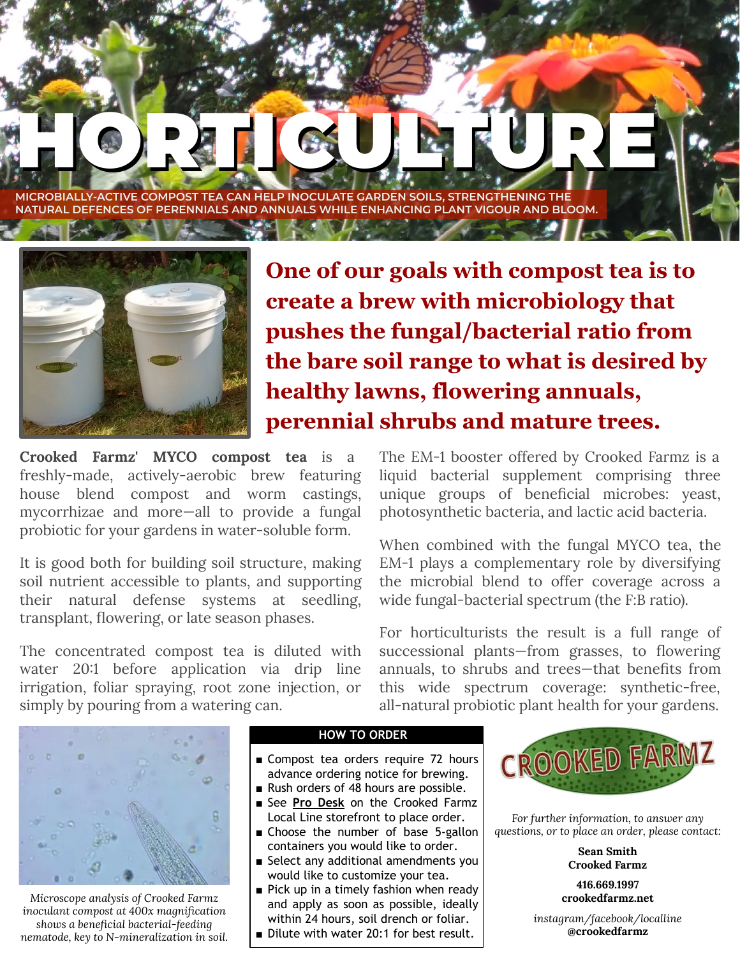HORTIGUES HAT **MICROBIALLY-ACTIVE COMPOST TEA CAN HELP INOCULATE GARDEN SOILS, STRENGTHENING THE NATURAL DEFENCES OF PERENNIALS AND ANNUALS WHILE ENHANCING PLANT VIGOUR AND BLOOM.**



**One of our goals with compost tea is to create a brew with microbiology that pushes the fungal/bacterial ratio from the bare soil range to what is desired by healthy lawns, flowering annuals, perennial shrubs and mature trees.**

**Crooked Farmz' MYCO compost tea** is a freshly-made, actively-aerobic brew featuring house blend compost and worm castings, mycorrhizae and more—all to provide a fungal probiotic for your gardens in water-soluble form.

It is good both for building soil structure, making soil nutrient accessible to plants, and supporting their natural defense systems at seedling, transplant, flowering, or late season phases.

The concentrated compost tea is diluted with water 20:1 before application via drip line irrigation, foliar spraying, root zone injection, or simply by pouring from a watering can.



*Microscope analysis of Crooked Farmz inoculant compost at 400x magnification shows a beneficial bacterial-feeding nematode, key to N-mineralization in soil.*

## **HOW TO ORDER**

- Compost tea orders require 72 hours advance ordering notice for brewing.
- Rush orders of 48 hours are possible.
- See **Pro Desk** on the Crooked Farmz Local Line storefront to place order.
- Choose the number of base 5-gallon containers you would like to order.
- Select any additional amendments you would like to customize your tea.
- Pick up in a timely fashion when ready and apply as soon as possible, ideally within 24 hours, soil drench or foliar.
- Dilute with water 20:1 for best result.



*For further information, to answer any questions, or to place an order, please contact:*

> **Sean Smith Crooked Farmz**

**416.669.1997 crookedfarmz.net**

*instagram/facebook/localline* **@crookedfarmz**

The EM-1 booster offered by Crooked Farmz is a liquid bacterial supplement comprising three unique groups of beneficial microbes: yeast, photosynthetic bacteria, and lactic acid bacteria.

When combined with the fungal MYCO tea, the EM-1 plays a complementary role by diversifying the microbial blend to offer coverage across a wide fungal-bacterial spectrum (the F:B ratio).

For horticulturists the result is a full range of successional plants—from grasses, to flowering annuals, to shrubs and trees—that benefits from this wide spectrum coverage: synthetic-free, all-natural probiotic plant health for your gardens.